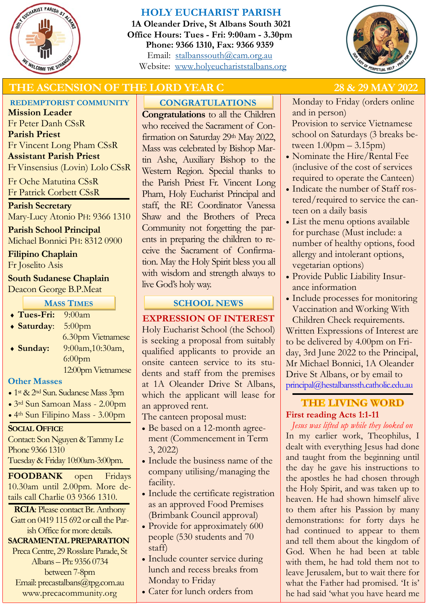

# **HOLY EUCHARIST PARISH**

**1A Oleander Drive, St Albans South 3021 Office Hours: Tues - Fri: 9:00am - 3.30pm Phone: 9366 1310, Fax: 9366 9359** Email: [stalbanssouth@cam.org.au](mailto:stalbanssouth@cam.org.au) Website:[www.holyeuchariststalbans.org](http://www.holyeuchariststalbans.org)



# THE ASCENSION OF THE LORD YEAR C 28 & 29 MAY 2022

## **REDEMPTORIST COMMUNITY**

**Mission Leader** Fr Peter Danh CSsR **Parish Priest** Fr Vincent Long Pham CSsR **Assistant Parish Priest**  Fr Vinsensius (Lovin) Lolo CSsR

Fr Oche Matutina CSsR Fr Patrick Corbett CSsR

# **Parish Secretary**

Mary-Lucy Atonio PH: 9366 1310

**Parish School Principal** Michael Bonnici PH: 8312 0900

**Filipino Chaplain**

Fr Joselito Asis

### **South Sudanese Chaplain** Deacon George B.P.Meat

**MASS TIMES**

 **Tues-Fri:** 9:00am **Saturday**: 5:00pm 6.30pm Vietnamese **Sunday:** 9:00am,10:30am, 6:00pm 12:00pm Vietnamese

# **Other Masses**

- 1<sup>st</sup> & 2<sup>nd</sup> Sun. Sudanese Mass 3pm
- 3rd Sun Samoan Mass 2.00pm
- 4th Sun Filipino Mass 3.00pm

# **SOCIAL OFFICE**

Contact: Son Nguyen & Tammy Le Phone 9366 1310

Tuesday & Friday 10:00am-3:00pm.

**FOODBANK** open Fridays 10.30am until 2.00pm. More details call Charlie 03 9366 1310.

**RCIA**: Please contact Br. Anthony Gatt on 0419 115 692 or call the Parish Office for more details.

# **SACRAMENTAL PREPARATION**

Preca Centre, 29 Rosslare Parade, St Albans – Ph: 9356 0734 between 7-8pm Email: precastalbans@tpg.com.au www.precacommunity.org

# **CONGRATULATIONS**

**Congratulations** to all the Children who received the Sacrament of Confirmation on Saturday 29th May 2022, Mass was celebrated by Bishop Martin Ashe, Auxiliary Bishop to the Western Region. Special thanks to the Parish Priest Fr. Vincent Long Pham, Holy Eucharist Principal and staff, the RE Coordinator Vanessa Shaw and the Brothers of Preca Community not forgetting the parents in preparing the children to receive the Sacrament of Confirmation. May the Holy Spirit bless you all with wisdom and strength always to live God's holy way.

# **SCHOOL NEWS**

**EXPRESSION OF INTEREST**

Holy Eucharist School (the School) is seeking a proposal from suitably qualified applicants to provide an onsite canteen service to its students and staff from the premises at 1A Oleander Drive St Albans, which the applicant will lease for an approved rent.

The canteen proposal must:

- Be based on a 12-month agreement (Commencement in Term 3, 2022)
- Include the business name of the company utilising/managing the facility.
- Include the certificate registration as an approved Food Premises (Brimbank Council approval)
- Provide for approximately 600 people (530 students and 70 staff)
- Include counter service during lunch and recess breaks from Monday to Friday
- Cater for lunch orders from

Monday to Friday (orders online and in person)

Provision to service Vietnamese school on Saturdays (3 breaks between  $1.00$ pm  $-3.15$ pm $)$ 

- Nominate the Hire/Rental Fee (inclusive of the cost of services required to operate the Canteen)
- Indicate the number of Staff rostered/required to service the canteen on a daily basis
- List the menu options available for purchase (Must include: a number of healthy options, food allergy and intolerant options, vegetarian options)
- Provide Public Liability Insurance information
- Include processes for monitoring Vaccination and Working With

Children Check requirements. Written Expressions of Interest are to be delivered by 4.00pm on Friday, 3rd June 2022 to the Principal, Mr Michael Bonnici, 1A Oleander Drive St Albans, or by email to principal@hestalbanssth.catholic.edu.au

# **THE LIVING WORD First reading Acts 1:1-11**

*Jesus was lifted up while they looked on* In my earlier work, Theophilus, I dealt with everything Jesus had done and taught from the beginning until the day he gave his instructions to the apostles he had chosen through the Holy Spirit, and was taken up to heaven. He had shown himself alive to them after his Passion by many demonstrations: for forty days he had continued to appear to them and tell them about the kingdom of God. When he had been at table with them, he had told them not to leave Jerusalem, but to wait there for what the Father had promised. Tt is' he had said 'what you have heard me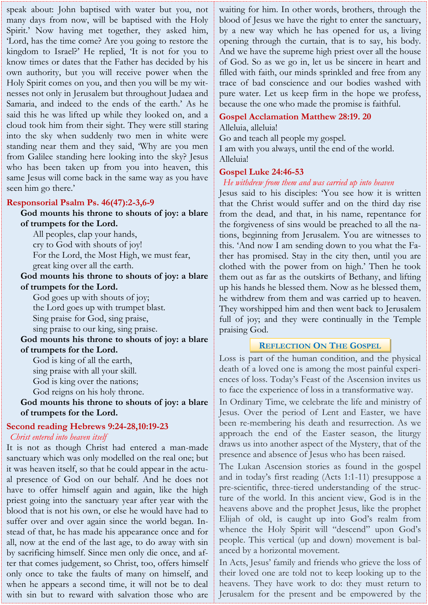speak about: John baptised with water but you, not many days from now, will be baptised with the Holy Spirit.' Now having met together, they asked him, 'Lord, has the time come? Are you going to restore the kingdom to Israel?' He replied, 'It is not for you to know times or dates that the Father has decided by his own authority, but you will receive power when the Holy Spirit comes on you, and then you will be my witnesses not only in Jerusalem but throughout Judaea and Samaria, and indeed to the ends of the earth.' As he said this he was lifted up while they looked on, and a cloud took him from their sight. They were still staring into the sky when suddenly two men in white were standing near them and they said, 'Why are you men from Galilee standing here looking into the sky? Jesus who has been taken up from you into heaven, this same Jesus will come back in the same way as you have seen him go there.'

#### **Responsorial Psalm Ps. 46(47):2-3,6-9**

**God mounts his throne to shouts of joy: a blare of trumpets for the Lord.** All peoples, clap your hands, cry to God with shouts of joy! For the Lord, the Most High, we must fear, great king over all the earth. **God mounts his throne to shouts of joy: a blare of trumpets for the Lord.** God goes up with shouts of joy; the Lord goes up with trumpet blast. Sing praise for God, sing praise, sing praise to our king, sing praise. **God mounts his throne to shouts of joy: a blare of trumpets for the Lord.** God is king of all the earth, sing praise with all your skill. God is king over the nations;

God reigns on his holy throne.

**God mounts his throne to shouts of joy: a blare of trumpets for the Lord.**

# **Second reading Hebrews 9:24-28,10:19-23**

*Christ entered into heaven itself*

It is not as though Christ had entered a man-made sanctuary which was only modelled on the real one; but it was heaven itself, so that he could appear in the actual presence of God on our behalf. And he does not have to offer himself again and again, like the high priest going into the sanctuary year after year with the blood that is not his own, or else he would have had to suffer over and over again since the world began. Instead of that, he has made his appearance once and for all, now at the end of the last age, to do away with sin by sacrificing himself. Since men only die once, and after that comes judgement, so Christ, too, offers himself only once to take the faults of many on himself, and when he appears a second time, it will not be to deal with sin but to reward with salvation those who are

waiting for him. In other words, brothers, through the blood of Jesus we have the right to enter the sanctuary, by a new way which he has opened for us, a living opening through the curtain, that is to say, his body. And we have the supreme high priest over all the house of God. So as we go in, let us be sincere in heart and filled with faith, our minds sprinkled and free from any trace of bad conscience and our bodies washed with pure water. Let us keep firm in the hope we profess, because the one who made the promise is faithful.

### **Gospel Acclamation Matthew 28:19. 20**

Alleluia, alleluia! Go and teach all people my gospel. I am with you always, until the end of the world. Alleluia!

### **Gospel Luke 24:46-53**

*He withdrew from them and was carried up into heaven*

Jesus said to his disciples: 'You see how it is written that the Christ would suffer and on the third day rise from the dead, and that, in his name, repentance for the forgiveness of sins would be preached to all the nations, beginning from Jerusalem. You are witnesses to this. 'And now I am sending down to you what the Father has promised. Stay in the city then, until you are clothed with the power from on high.' Then he took them out as far as the outskirts of Bethany, and lifting up his hands he blessed them. Now as he blessed them, he withdrew from them and was carried up to heaven. They worshipped him and then went back to Jerusalem full of joy; and they were continually in the Temple praising God.

### **REFLECTION ON THE GOSPEL**

Loss is part of the human condition, and the physical death of a loved one is among the most painful experiences of loss. Today's Feast of the Ascension invites us to face the experience of loss in a transformative way.

In Ordinary Time, we celebrate the life and ministry of Jesus. Over the period of Lent and Easter, we have been re-membering his death and resurrection. As we approach the end of the Easter season, the liturgy draws us into another aspect of the Mystery, that of the presence and absence of Jesus who has been raised.

The Lukan Ascension stories as found in the gospel and in today's first reading (Acts 1:1-11) presuppose a pre-scientific, three-tiered understanding of the structure of the world. In this ancient view, God is in the heavens above and the prophet Jesus, like the prophet Elijah of old, is caught up into God's realm from whence the Holy Spirit will "descend" upon God's people. This vertical (up and down) movement is balanced by a horizontal movement.

In Acts, Jesus' family and friends who grieve the loss of their loved one are told not to keep looking up to the heavens. They have work to do: they must return to Jerusalem for the present and be empowered by the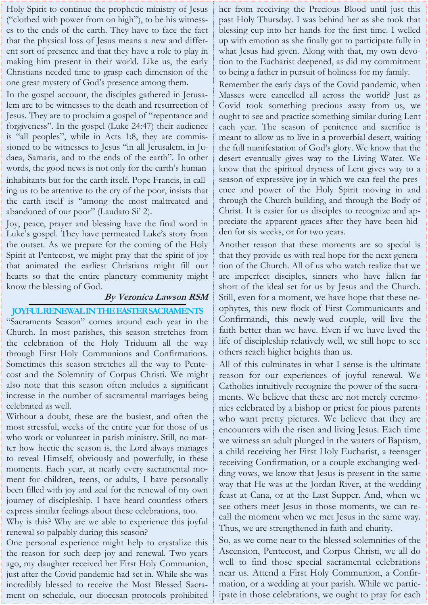Holy Spirit to continue the prophetic ministry of Jesus ("clothed with power from on high"), to be his witnesses to the ends of the earth. They have to face the fact that the physical loss of Jesus means a new and different sort of presence and that they have a role to play in making him present in their world. Like us, the early Christians needed time to grasp each dimension of the one great mystery of God's presence among them.

In the gospel account, the disciples gathered in Jerusalem are to be witnesses to the death and resurrection of Jesus. They are to proclaim a gospel of "repentance and forgiveness". In the gospel (Luke 24:47) their audience is "all peoples", while in Acts 1:8, they are commissioned to be witnesses to Jesus "in all Jerusalem, in Judaea, Samaria, and to the ends of the earth". In other words, the good news is not only for the earth's human inhabitants but for the earth itself. Pope Francis, in calling us to be attentive to the cry of the poor, insists that the earth itself is "among the most maltreated and abandoned of our poor" (Laudato Si' 2).

Joy, peace, prayer and blessing have the final word in Luke's gospel. They have permeated Luke's story from the outset. As we prepare for the coming of the Holy Spirit at Pentecost, we might pray that the spirit of joy that animated the earliest Christians might fill our hearts so that the entire planetary community might know the blessing of God.

#### **By Veronica Lawson RSM**

#### **JOYFUL RENEWAL IN THE EASTER SACRAMENTS**

"Sacraments Season" comes around each year in the Church. In most parishes, this season stretches from the celebration of the Holy Triduum all the way through First Holy Communions and Confirmations. Sometimes this season stretches all the way to Pentecost and the Solemnity of Corpus Christi. We might also note that this season often includes a significant increase in the number of sacramental marriages being celebrated as well.

Without a doubt, these are the busiest, and often the most stressful, weeks of the entire year for those of us who work or volunteer in parish ministry. Still, no matter how hectic the season is, the Lord always manages to reveal Himself, obviously and powerfully, in these moments. Each year, at nearly every sacramental moment for children, teens, or adults, I have personally been filled with joy and zeal for the renewal of my own journey of discipleship. I have heard countless others express similar feelings about these celebrations, too.

Why is this? Why are we able to experience this joyful renewal so palpably during this season?

One personal experience might help to crystalize this the reason for such deep joy and renewal. Two years ago, my daughter received her First Holy Communion, just after the Covid pandemic had set in. While she was incredibly blessed to receive the Most Blessed Sacrament on schedule, our diocesan protocols prohibited her from receiving the Precious Blood until just this past Holy Thursday. I was behind her as she took that blessing cup into her hands for the first time. I welled up with emotion as she finally got to participate fully in what Jesus had given. Along with that, my own devotion to the Eucharist deepened, as did my commitment to being a father in pursuit of holiness for my family.

Remember the early days of the Covid pandemic, when Masses were cancelled all across the world? Just as Covid took something precious away from us, we ought to see and practice something similar during Lent each year. The season of penitence and sacrifice is meant to allow us to live in a proverbial desert, waiting the full manifestation of God's glory. We know that the desert eventually gives way to the Living Water. We know that the spiritual dryness of Lent gives way to a season of expressive joy in which we can feel the presence and power of the Holy Spirit moving in and through the Church building, and through the Body of Christ. It is easier for us disciples to recognize and appreciate the apparent graces after they have been hidden for six weeks, or for two years.

Another reason that these moments are so special is that they provide us with real hope for the next generation of the Church. All of us who watch realize that we are imperfect disciples, sinners who have fallen far short of the ideal set for us by Jesus and the Church. Still, even for a moment, we have hope that these neophytes, this new flock of First Communicants and Confirmandi, this newly-wed couple, will live the faith better than we have. Even if we have lived the life of discipleship relatively well, we still hope to see others reach higher heights than us.

All of this culminates in what I sense is the ultimate reason for our experiences of joyful renewal. We Catholics intuitively recognize the power of the sacraments. We believe that these are not merely ceremonies celebrated by a bishop or priest for pious parents who want pretty pictures. We believe that they are encounters with the risen and living Jesus. Each time we witness an adult plunged in the waters of Baptism, a child receiving her First Holy Eucharist, a teenager receiving Confirmation, or a couple exchanging wedding vows, we know that Jesus is present in the same way that He was at the Jordan River, at the wedding feast at Cana, or at the Last Supper. And, when we see others meet Jesus in those moments, we can recall the moment when we met Jesus in the same way. Thus, we are strengthened in faith and charity.

So, as we come near to the blessed solemnities of the Ascension, Pentecost, and Corpus Christi, we all do well to find those special sacramental celebrations near us. Attend a First Holy Communion, a Confirmation, or a wedding at your parish. While we participate in those celebrations, we ought to pray for each